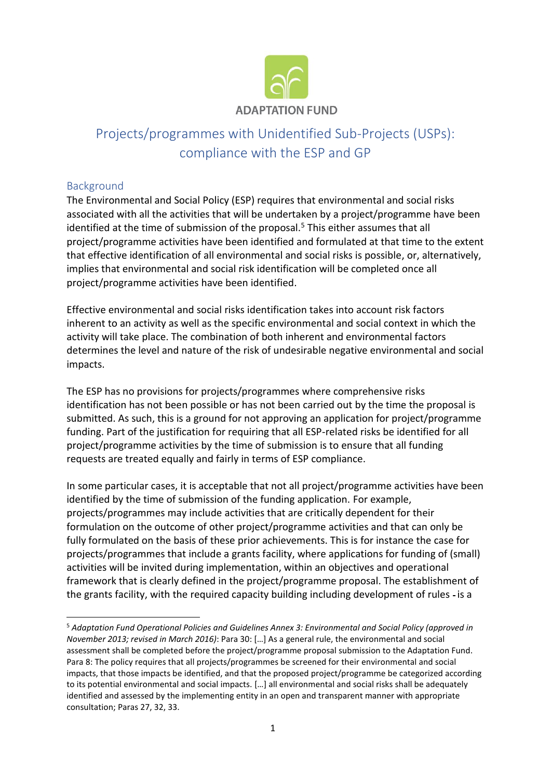

# Projects/programmes with Unidentified Sub-Projects (USPs): compliance with the ESP and GP

## Background

The Environmental and Social Policy (ESP) requires that environmental and social risks associated with all the activities that will be undertaken by a project/programme have been identified at the time of submission of the proposal.<sup>5</sup> This either assumes that all project/programme activities have been identified and formulated at that time to the extent that effective identification of all environmental and social risks is possible, or, alternatively, implies that environmental and social risk identification will be completed once all project/programme activities have been identified.

Effective environmental and social risks identification takes into account risk factors inherent to an activity as well as the specific environmental and social context in which the activity will take place. The combination of both inherent and environmental factors determines the level and nature of the risk of undesirable negative environmental and social impacts.

The ESP has no provisions for projects/programmes where comprehensive risks identification has not been possible or has not been carried out by the time the proposal is submitted. As such, this is a ground for not approving an application for project/programme funding. Part of the justification for requiring that all ESP-related risks be identified for all project/programme activities by the time of submission is to ensure that all funding requests are treated equally and fairly in terms of ESP compliance.

In some particular cases, it is acceptable that not all project/programme activities have been identified by the time of submission of the funding application. For example, projects/programmes may include activities that are critically dependent for their formulation on the outcome of other project/programme activities and that can only be fully formulated on the basis of these prior achievements. This is for instance the case for projects/programmes that include a grants facility, where applications for funding of (small) activities will be invited during implementation, within an objectives and operational framework that is clearly defined in the project/programme proposal. The establishment of the grants facility, with the required capacity building including development of rules - is a

<sup>5</sup> *Adaptation Fund Operational Policies and Guidelines Annex 3: Environmental and Social Policy (approved in November 2013; revised in March 2016)*: Para 30: […] As a general rule, the environmental and social assessment shall be completed before the project/programme proposal submission to the Adaptation Fund. Para 8: The policy requires that all projects/programmes be screened for their environmental and social impacts, that those impacts be identified, and that the proposed project/programme be categorized according to its potential environmental and social impacts. […] all environmental and social risks shall be adequately identified and assessed by the implementing entity in an open and transparent manner with appropriate consultation; Paras 27, 32, 33.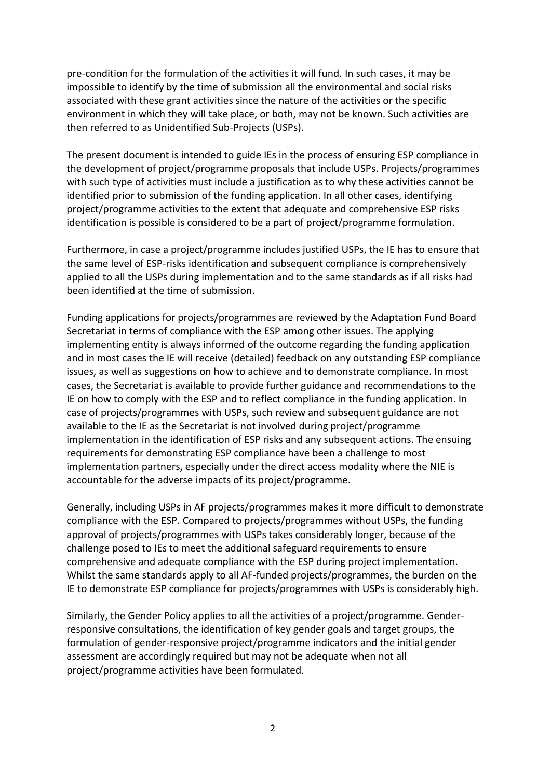pre-condition for the formulation of the activities it will fund. In such cases, it may be impossible to identify by the time of submission all the environmental and social risks associated with these grant activities since the nature of the activities or the specific environment in which they will take place, or both, may not be known. Such activities are then referred to as Unidentified Sub-Projects (USPs).

The present document is intended to guide IEs in the process of ensuring ESP compliance in the development of project/programme proposals that include USPs. Projects/programmes with such type of activities must include a justification as to why these activities cannot be identified prior to submission of the funding application. In all other cases, identifying project/programme activities to the extent that adequate and comprehensive ESP risks identification is possible is considered to be a part of project/programme formulation.

Furthermore, in case a project/programme includes justified USPs, the IE has to ensure that the same level of ESP-risks identification and subsequent compliance is comprehensively applied to all the USPs during implementation and to the same standards as if all risks had been identified at the time of submission.

Funding applications for projects/programmes are reviewed by the Adaptation Fund Board Secretariat in terms of compliance with the ESP among other issues. The applying implementing entity is always informed of the outcome regarding the funding application and in most cases the IE will receive (detailed) feedback on any outstanding ESP compliance issues, as well as suggestions on how to achieve and to demonstrate compliance. In most cases, the Secretariat is available to provide further guidance and recommendations to the IE on how to comply with the ESP and to reflect compliance in the funding application. In case of projects/programmes with USPs, such review and subsequent guidance are not available to the IE as the Secretariat is not involved during project/programme implementation in the identification of ESP risks and any subsequent actions. The ensuing requirements for demonstrating ESP compliance have been a challenge to most implementation partners, especially under the direct access modality where the NIE is accountable for the adverse impacts of its project/programme.

Generally, including USPs in AF projects/programmes makes it more difficult to demonstrate compliance with the ESP. Compared to projects/programmes without USPs, the funding approval of projects/programmes with USPs takes considerably longer, because of the challenge posed to IEs to meet the additional safeguard requirements to ensure comprehensive and adequate compliance with the ESP during project implementation. Whilst the same standards apply to all AF-funded projects/programmes, the burden on the IE to demonstrate ESP compliance for projects/programmes with USPs is considerably high.

Similarly, the Gender Policy applies to all the activities of a project/programme. Genderresponsive consultations, the identification of key gender goals and target groups, the formulation of gender-responsive project/programme indicators and the initial gender assessment are accordingly required but may not be adequate when not all project/programme activities have been formulated.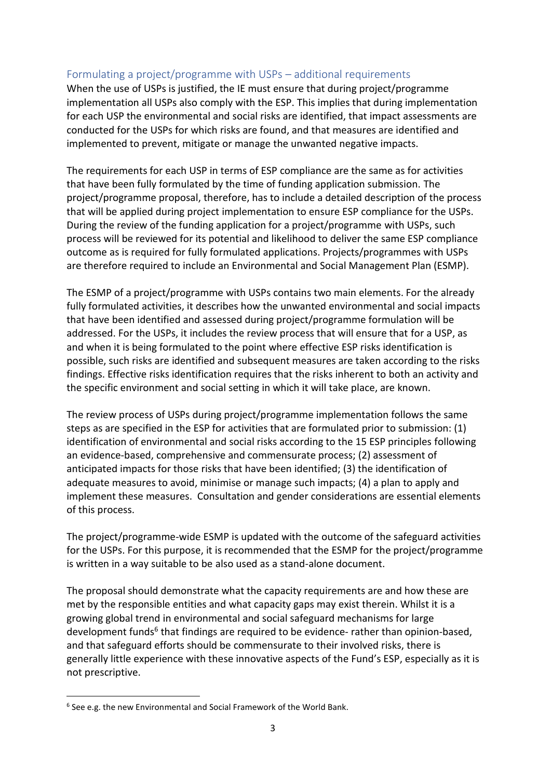### Formulating a project/programme with USPs – additional requirements

When the use of USPs is justified, the IE must ensure that during project/programme implementation all USPs also comply with the ESP. This implies that during implementation for each USP the environmental and social risks are identified, that impact assessments are conducted for the USPs for which risks are found, and that measures are identified and implemented to prevent, mitigate or manage the unwanted negative impacts.

The requirements for each USP in terms of ESP compliance are the same as for activities that have been fully formulated by the time of funding application submission. The project/programme proposal, therefore, has to include a detailed description of the process that will be applied during project implementation to ensure ESP compliance for the USPs. During the review of the funding application for a project/programme with USPs, such process will be reviewed for its potential and likelihood to deliver the same ESP compliance outcome as is required for fully formulated applications. Projects/programmes with USPs are therefore required to include an Environmental and Social Management Plan (ESMP).

The ESMP of a project/programme with USPs contains two main elements. For the already fully formulated activities, it describes how the unwanted environmental and social impacts that have been identified and assessed during project/programme formulation will be addressed. For the USPs, it includes the review process that will ensure that for a USP, as and when it is being formulated to the point where effective ESP risks identification is possible, such risks are identified and subsequent measures are taken according to the risks findings. Effective risks identification requires that the risks inherent to both an activity and the specific environment and social setting in which it will take place, are known.

The review process of USPs during project/programme implementation follows the same steps as are specified in the ESP for activities that are formulated prior to submission: (1) identification of environmental and social risks according to the 15 ESP principles following an evidence-based, comprehensive and commensurate process; (2) assessment of anticipated impacts for those risks that have been identified; (3) the identification of adequate measures to avoid, minimise or manage such impacts; (4) a plan to apply and implement these measures. Consultation and gender considerations are essential elements of this process.

The project/programme-wide ESMP is updated with the outcome of the safeguard activities for the USPs. For this purpose, it is recommended that the ESMP for the project/programme is written in a way suitable to be also used as a stand-alone document.

The proposal should demonstrate what the capacity requirements are and how these are met by the responsible entities and what capacity gaps may exist therein. Whilst it is a growing global trend in environmental and social safeguard mechanisms for large development funds<sup>6</sup> that findings are required to be evidence- rather than opinion-based, and that safeguard efforts should be commensurate to their involved risks, there is generally little experience with these innovative aspects of the Fund's ESP, especially as it is not prescriptive.

<sup>&</sup>lt;sup>6</sup> See e.g. the new Environmental and Social Framework of the World Bank.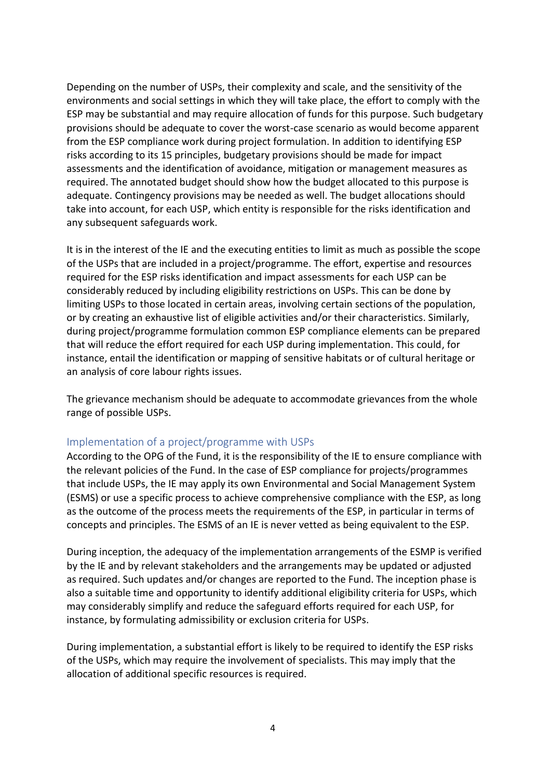Depending on the number of USPs, their complexity and scale, and the sensitivity of the environments and social settings in which they will take place, the effort to comply with the ESP may be substantial and may require allocation of funds for this purpose. Such budgetary provisions should be adequate to cover the worst-case scenario as would become apparent from the ESP compliance work during project formulation. In addition to identifying ESP risks according to its 15 principles, budgetary provisions should be made for impact assessments and the identification of avoidance, mitigation or management measures as required. The annotated budget should show how the budget allocated to this purpose is adequate. Contingency provisions may be needed as well. The budget allocations should take into account, for each USP, which entity is responsible for the risks identification and any subsequent safeguards work.

It is in the interest of the IE and the executing entities to limit as much as possible the scope of the USPs that are included in a project/programme. The effort, expertise and resources required for the ESP risks identification and impact assessments for each USP can be considerably reduced by including eligibility restrictions on USPs. This can be done by limiting USPs to those located in certain areas, involving certain sections of the population, or by creating an exhaustive list of eligible activities and/or their characteristics. Similarly, during project/programme formulation common ESP compliance elements can be prepared that will reduce the effort required for each USP during implementation. This could, for instance, entail the identification or mapping of sensitive habitats or of cultural heritage or an analysis of core labour rights issues.

The grievance mechanism should be adequate to accommodate grievances from the whole range of possible USPs.

#### Implementation of a project/programme with USPs

According to the OPG of the Fund, it is the responsibility of the IE to ensure compliance with the relevant policies of the Fund. In the case of ESP compliance for projects/programmes that include USPs, the IE may apply its own Environmental and Social Management System (ESMS) or use a specific process to achieve comprehensive compliance with the ESP, as long as the outcome of the process meets the requirements of the ESP, in particular in terms of concepts and principles. The ESMS of an IE is never vetted as being equivalent to the ESP.

During inception, the adequacy of the implementation arrangements of the ESMP is verified by the IE and by relevant stakeholders and the arrangements may be updated or adjusted as required. Such updates and/or changes are reported to the Fund. The inception phase is also a suitable time and opportunity to identify additional eligibility criteria for USPs, which may considerably simplify and reduce the safeguard efforts required for each USP, for instance, by formulating admissibility or exclusion criteria for USPs.

During implementation, a substantial effort is likely to be required to identify the ESP risks of the USPs, which may require the involvement of specialists. This may imply that the allocation of additional specific resources is required.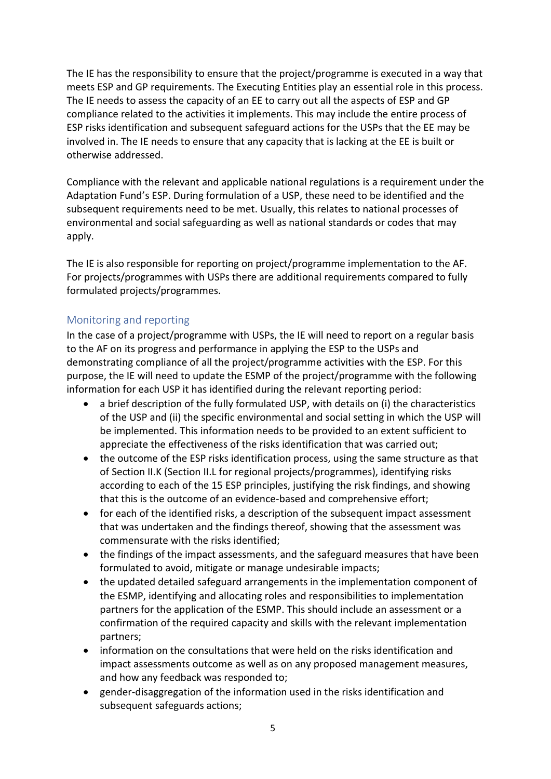The IE has the responsibility to ensure that the project/programme is executed in a way that meets ESP and GP requirements. The Executing Entities play an essential role in this process. The IE needs to assess the capacity of an EE to carry out all the aspects of ESP and GP compliance related to the activities it implements. This may include the entire process of ESP risks identification and subsequent safeguard actions for the USPs that the EE may be involved in. The IE needs to ensure that any capacity that is lacking at the EE is built or otherwise addressed.

Compliance with the relevant and applicable national regulations is a requirement under the Adaptation Fund's ESP. During formulation of a USP, these need to be identified and the subsequent requirements need to be met. Usually, this relates to national processes of environmental and social safeguarding as well as national standards or codes that may apply.

The IE is also responsible for reporting on project/programme implementation to the AF. For projects/programmes with USPs there are additional requirements compared to fully formulated projects/programmes.

## Monitoring and reporting

In the case of a project/programme with USPs, the IE will need to report on a regular basis to the AF on its progress and performance in applying the ESP to the USPs and demonstrating compliance of all the project/programme activities with the ESP. For this purpose, the IE will need to update the ESMP of the project/programme with the following information for each USP it has identified during the relevant reporting period:

- a brief description of the fully formulated USP, with details on (i) the characteristics of the USP and (ii) the specific environmental and social setting in which the USP will be implemented. This information needs to be provided to an extent sufficient to appreciate the effectiveness of the risks identification that was carried out;
- the outcome of the ESP risks identification process, using the same structure as that of Section II.K (Section II.L for regional projects/programmes), identifying risks according to each of the 15 ESP principles, justifying the risk findings, and showing that this is the outcome of an evidence-based and comprehensive effort;
- for each of the identified risks, a description of the subsequent impact assessment that was undertaken and the findings thereof, showing that the assessment was commensurate with the risks identified;
- the findings of the impact assessments, and the safeguard measures that have been formulated to avoid, mitigate or manage undesirable impacts;
- the updated detailed safeguard arrangements in the implementation component of the ESMP, identifying and allocating roles and responsibilities to implementation partners for the application of the ESMP. This should include an assessment or a confirmation of the required capacity and skills with the relevant implementation partners;
- information on the consultations that were held on the risks identification and impact assessments outcome as well as on any proposed management measures, and how any feedback was responded to;
- gender-disaggregation of the information used in the risks identification and subsequent safeguards actions;